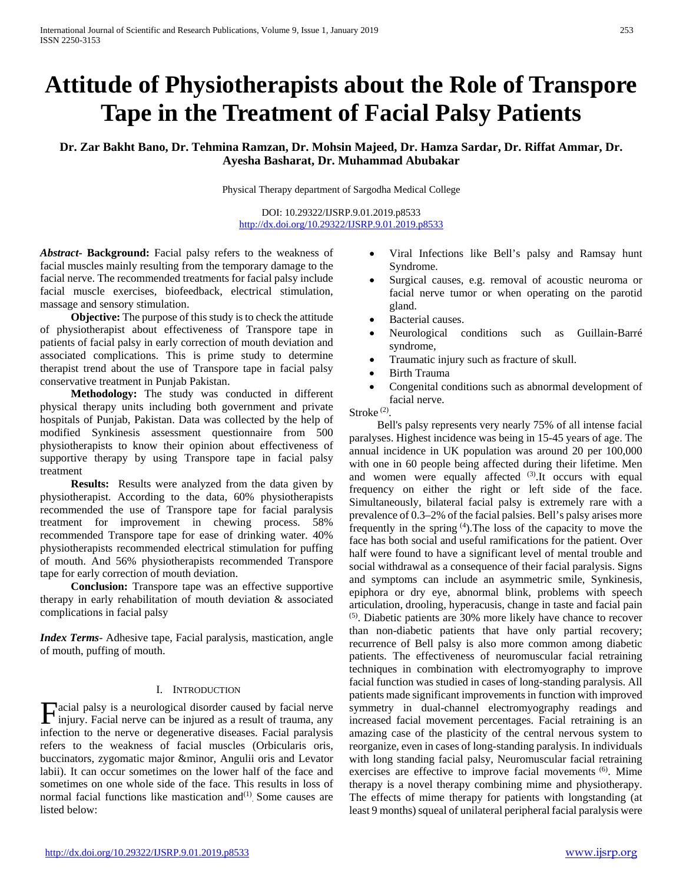# **Attitude of Physiotherapists about the Role of Transpore Tape in the Treatment of Facial Palsy Patients**

**Dr. Zar Bakht Bano, Dr. Tehmina Ramzan, Dr. Mohsin Majeed, Dr. Hamza Sardar, Dr. Riffat Ammar, Dr. Ayesha Basharat, Dr. Muhammad Abubakar**

Physical Therapy department of Sargodha Medical College

DOI: 10.29322/IJSRP.9.01.2019.p8533 <http://dx.doi.org/10.29322/IJSRP.9.01.2019.p8533>

*Abstract***- Background:** Facial palsy refers to the weakness of facial muscles mainly resulting from the temporary damage to the facial nerve. The recommended treatments for facial palsy include facial muscle exercises, biofeedback, electrical stimulation, massage and sensory stimulation.

 **Objective:** The purpose of this study is to check the attitude of physiotherapist about effectiveness of Transpore tape in patients of facial palsy in early correction of mouth deviation and associated complications. This is prime study to determine therapist trend about the use of Transpore tape in facial palsy conservative treatment in Punjab Pakistan.

 **Methodology:** The study was conducted in different physical therapy units including both government and private hospitals of Punjab, Pakistan. Data was collected by the help of modified Synkinesis assessment questionnaire from 500 physiotherapists to know their opinion about effectiveness of supportive therapy by using Transpore tape in facial palsy treatment

 **Results:** Results were analyzed from the data given by physiotherapist. According to the data, 60% physiotherapists recommended the use of Transpore tape for facial paralysis treatment for improvement in chewing process. 58% recommended Transpore tape for ease of drinking water. 40% physiotherapists recommended electrical stimulation for puffing of mouth. And 56% physiotherapists recommended Transpore tape for early correction of mouth deviation.

 **Conclusion:** Transpore tape was an effective supportive therapy in early rehabilitation of mouth deviation & associated complications in facial palsy

*Index Terms*- Adhesive tape, Facial paralysis, mastication, angle of mouth, puffing of mouth.

### I. INTRODUCTION

acial palsy is a neurological disorder caused by facial nerve **F**acial palsy is a neurological disorder caused by facial nerve injury. Facial nerve can be injured as a result of trauma, any infection to the nerve or degenerative diseases. Facial paralysis refers to the weakness of facial muscles (Orbicularis oris, buccinators, zygomatic major &minor, Angulii oris and Levator labii). It can occur sometimes on the lower half of the face and sometimes on one whole side of the face. This results in loss of normal facial functions like mastication and<sup>(1)</sup>. Some causes are listed below:

- Viral Infections like Bell's palsy and Ramsay hunt Syndrome.
- Surgical causes, e.g. removal of acoustic neuroma or facial nerve tumor or when operating on the parotid gland.
- Bacterial causes.
- Neurological conditions such as Guillain-Barré syndrome,
- Traumatic injury such as fracture of skull.
- Birth Trauma
- Congenital conditions such as abnormal development of facial nerve.

Stroke<sup>(2)</sup>.

 Bell's palsy represents very nearly 75% of all intense facial paralyses. Highest incidence was being in 15-45 years of age. The annual incidence in UK population was around 20 per 100,000 with one in 60 people being affected during their lifetime. Men and women were equally affected <sup>(3)</sup>.It occurs with equal frequency on either the right or left side of the face. Simultaneously, bilateral facial palsy is extremely rare with a prevalence of 0.3–2% of the facial palsies. Bell's palsy arises more frequently in the spring (4).The loss of the capacity to move the face has both social and useful ramifications for the patient. Over half were found to have a significant level of mental trouble and social withdrawal as a consequence of their facial paralysis. Signs and symptoms can include an asymmetric smile, Synkinesis, epiphora or dry eye, abnormal blink, problems with speech articulation, drooling, hyperacusis, change in taste and facial pain (5). Diabetic patients are 30% more likely have chance to recover than non-diabetic patients that have only partial recovery; recurrence of Bell palsy is also more common among diabetic patients. The effectiveness of neuromuscular facial retraining techniques in combination with electromyography to improve facial function was studied in cases of long-standing paralysis. All patients made significant improvements in function with improved symmetry in dual-channel electromyography readings and increased facial movement percentages. Facial retraining is an amazing case of the plasticity of the central nervous system to reorganize, even in cases of long-standing paralysis. In individuals with long standing facial palsy, Neuromuscular facial retraining exercises are effective to improve facial movements <sup>(6)</sup>. Mime therapy is a novel therapy combining mime and physiotherapy. The effects of mime therapy for patients with longstanding (at least 9 months) squeal of unilateral peripheral facial paralysis were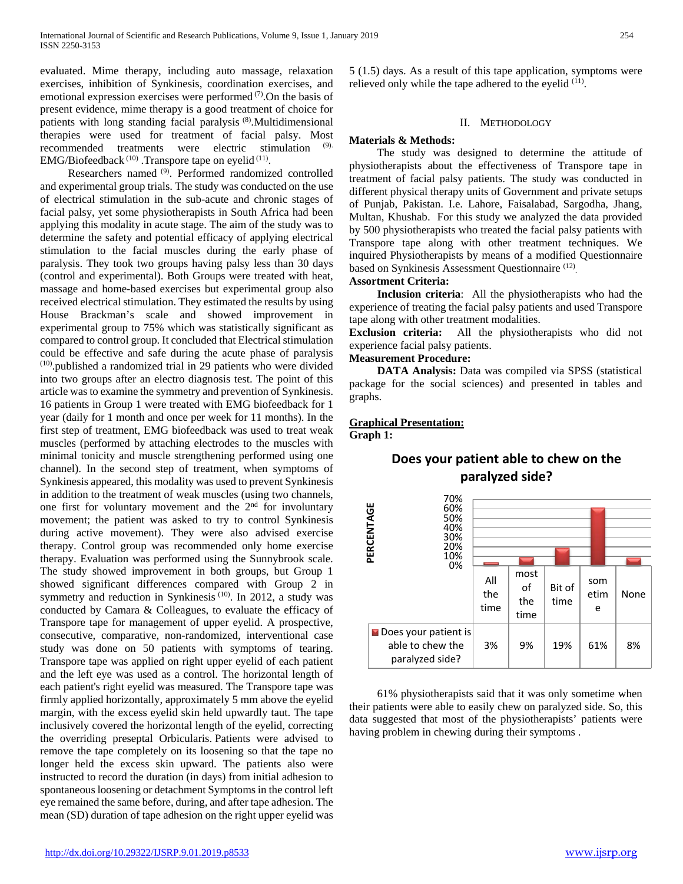evaluated. Mime therapy, including auto massage, relaxation exercises, inhibition of Synkinesis, coordination exercises, and emotional expression exercises were performed  $(7)$ . On the basis of present evidence, mime therapy is a good treatment of choice for patients with long standing facial paralysis (8).Multidimensional therapies were used for treatment of facial palsy. Most recommended treatments were electric stimulation EMG/Biofeedback<sup> $(10)$ </sup>. Transpore tape on eyelid<sup> $(11)$ </sup>.

 Researchers named (9). Performed randomized controlled and experimental group trials. The study was conducted on the use of electrical stimulation in the sub-acute and chronic stages of facial palsy, yet some physiotherapists in South Africa had been applying this modality in acute stage. The aim of the study was to determine the safety and potential efficacy of applying electrical stimulation to the facial muscles during the early phase of paralysis. They took two groups having palsy less than 30 days (control and experimental). Both Groups were treated with heat, massage and home-based exercises but experimental group also received electrical stimulation. They estimated the results by using House Brackman's scale and showed improvement in experimental group to 75% which was statistically significant as compared to control group. It concluded that Electrical stimulation could be effective and safe during the acute phase of paralysis  $(10)$ .published a randomized trial in 29 patients who were divided into two groups after an electro diagnosis test. The point of this article was to examine the symmetry and prevention of Synkinesis. 16 patients in Group 1 were treated with EMG biofeedback for 1 year (daily for 1 month and once per week for 11 months). In the first step of treatment, EMG biofeedback was used to treat weak muscles (performed by attaching electrodes to the muscles with minimal tonicity and muscle strengthening performed using one channel). In the second step of treatment, when symptoms of Synkinesis appeared, this modality was used to prevent Synkinesis in addition to the treatment of weak muscles (using two channels, one first for voluntary movement and the  $2<sup>nd</sup>$  for involuntary movement; the patient was asked to try to control Synkinesis during active movement). They were also advised exercise therapy. Control group was recommended only home exercise therapy. Evaluation was performed using the Sunnybrook scale. The study showed improvement in both groups, but Group 1 showed significant differences compared with Group 2 in symmetry and reduction in Synkinesis<sup>(10)</sup>. In 2012, a study was conducted by Camara & Colleagues, to evaluate the efficacy of Transpore tape for management of upper eyelid. A prospective, consecutive, comparative, non-randomized, interventional case study was done on 50 patients with symptoms of tearing. Transpore tape was applied on right upper eyelid of each patient and the left eye was used as a control. The horizontal length of each patient's right eyelid was measured. The Transpore tape was firmly applied horizontally, approximately 5 mm above the eyelid margin, with the excess eyelid skin held upwardly taut. The tape inclusively covered the horizontal length of the eyelid, correcting the overriding preseptal Orbicularis. Patients were advised to remove the tape completely on its loosening so that the tape no longer held the excess skin upward. The patients also were instructed to record the duration (in days) from initial adhesion to spontaneous loosening or detachment Symptoms in the control left eye remained the same before, during, and after tape adhesion. The mean (SD) duration of tape adhesion on the right upper eyelid was

<http://dx.doi.org/10.29322/IJSRP.9.01.2019.p8533> [www.ijsrp.org](http://ijsrp.org/)

## II. METHODOLOGY

## **Materials & Methods:**

 The study was designed to determine the attitude of physiotherapists about the effectiveness of Transpore tape in treatment of facial palsy patients. The study was conducted in different physical therapy units of Government and private setups of Punjab, Pakistan. I.e. Lahore, Faisalabad, Sargodha, Jhang, Multan, Khushab. For this study we analyzed the data provided by 500 physiotherapists who treated the facial palsy patients with Transpore tape along with other treatment techniques. We inquired Physiotherapists by means of a modified Questionnaire based on Synkinesis Assessment Questionnaire (12).

#### **Assortment Criteria:**

 **Inclusion criteria**: All the physiotherapists who had the experience of treating the facial palsy patients and used Transpore tape along with other treatment modalities.

**Exclusion criteria:** All the physiotherapists who did not experience facial palsy patients.

#### **Measurement Procedure:**

**DATA Analysis:** Data was compiled via SPSS (statistical package for the social sciences) and presented in tables and graphs.

## **Graphical Presentation:**

**Graph 1:**



# **Does your patient able to chew on the paralyzed side?**

 61% physiotherapists said that it was only sometime when their patients were able to easily chew on paralyzed side. So, this data suggested that most of the physiotherapists' patients were having problem in chewing during their symptoms .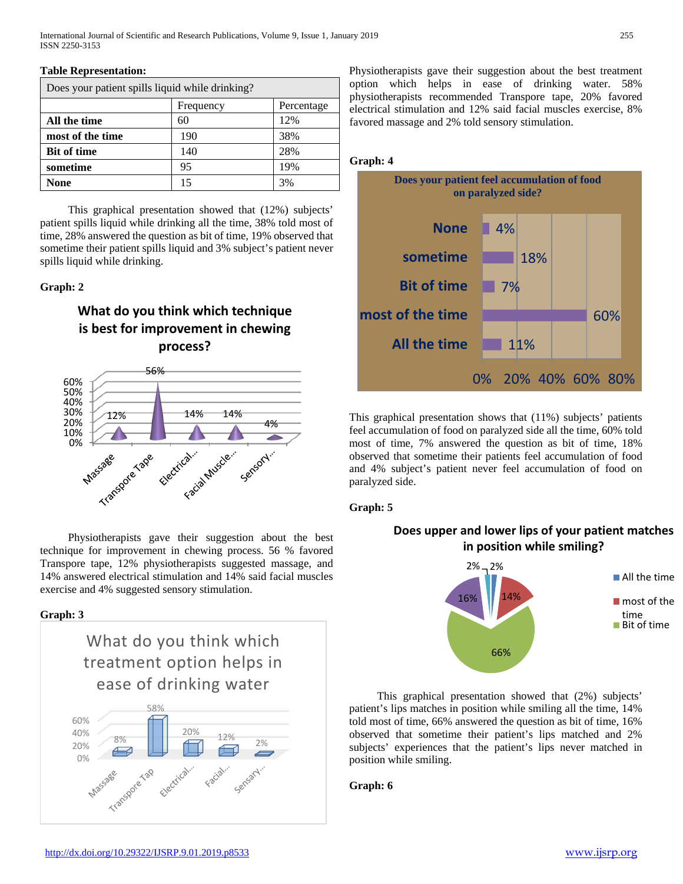| тарис тергезентации.                            |           |            |
|-------------------------------------------------|-----------|------------|
| Does your patient spills liquid while drinking? |           |            |
|                                                 | Frequency | Percentage |
| All the time                                    | 60        | 12%        |
| most of the time                                | 190       | 38%        |
| <b>Bit of time</b>                              | 140       | 28%        |
| sometime                                        | 95        | 19%        |
| None                                            | 15        | 3%         |

 This graphical presentation showed that (12%) subjects' patient spills liquid while drinking all the time, 38% told most of time, 28% answered the question as bit of time, 19% observed that sometime their patient spills liquid and 3% subject's patient never spills liquid while drinking.

#### **Graph: 2**

**Table Representation:** 

# **What do you think which technique is best for improvement in chewing process?**



 Physiotherapists gave their suggestion about the best technique for improvement in chewing process. 56 % favored Transpore tape, 12% physiotherapists suggested massage, and 14% answered electrical stimulation and 14% said facial muscles exercise and 4% suggested sensory stimulation.

#### **Graph: 3**



Physiotherapists gave their suggestion about the best treatment option which helps in ease of drinking water. 58% physiotherapists recommended Transpore tape, 20% favored electrical stimulation and 12% said facial muscles exercise, 8% favored massage and 2% told sensory stimulation.



This graphical presentation shows that (11%) subjects' patients feel accumulation of food on paralyzed side all the time, 60% told most of time, 7% answered the question as bit of time, 18% observed that sometime their patients feel accumulation of food and 4% subject's patient never feel accumulation of food on paralyzed side.

#### **Graph: 5**

## **Does upper and lower lips of your patient matches in position while smiling?**

![](_page_2_Figure_14.jpeg)

 This graphical presentation showed that (2%) subjects' patient's lips matches in position while smiling all the time, 14% told most of time, 66% answered the question as bit of time, 16% observed that sometime their patient's lips matched and 2% subjects' experiences that the patient's lips never matched in position while smiling.

#### **Graph: 6**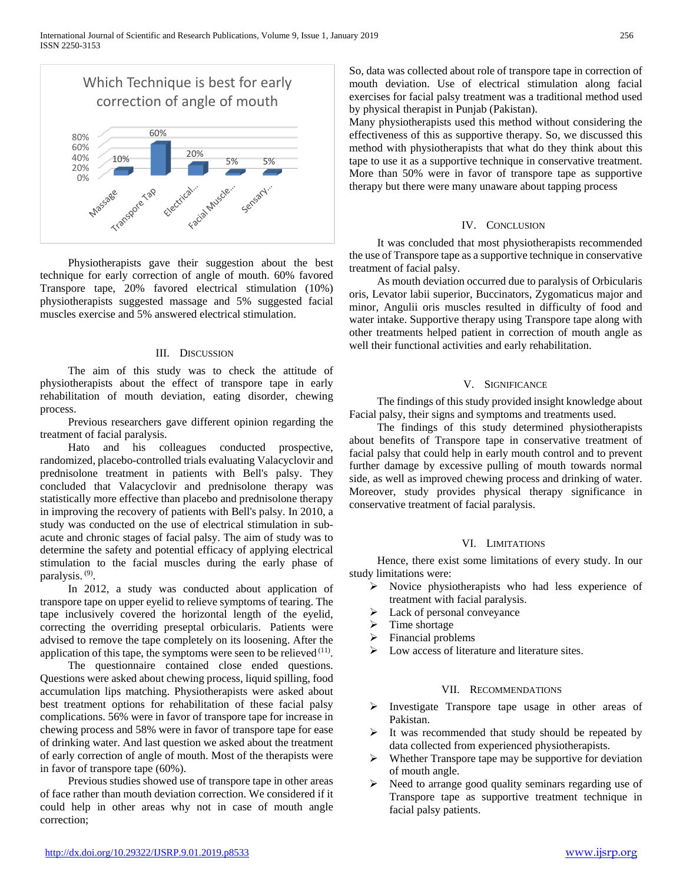![](_page_3_Figure_1.jpeg)

 Physiotherapists gave their suggestion about the best technique for early correction of angle of mouth. 60% favored Transpore tape, 20% favored electrical stimulation (10%) physiotherapists suggested massage and 5% suggested facial muscles exercise and 5% answered electrical stimulation.

#### III. DISCUSSION

 The aim of this study was to check the attitude of physiotherapists about the effect of transpore tape in early rehabilitation of mouth deviation, eating disorder, chewing process.

 Previous researchers gave different opinion regarding the treatment of facial paralysis.

 Hato and his colleagues conducted prospective, randomized, placebo-controlled trials evaluating Valacyclovir and prednisolone treatment in patients with Bell's palsy. They concluded that Valacyclovir and prednisolone therapy was statistically more effective than placebo and prednisolone therapy in improving the recovery of patients with Bell's palsy. In 2010, a study was conducted on the use of electrical stimulation in subacute and chronic stages of facial palsy. The aim of study was to determine the safety and potential efficacy of applying electrical stimulation to the facial muscles during the early phase of paralysis. (9).

 In 2012, a study was conducted about application of transpore tape on upper eyelid to relieve symptoms of tearing. The tape inclusively covered the horizontal length of the eyelid, correcting the overriding preseptal orbicularis. Patients were advised to remove the tape completely on its loosening. After the application of this tape, the symptoms were seen to be relieved  $(11)$ .

 The questionnaire contained close ended questions. Questions were asked about chewing process, liquid spilling, food accumulation lips matching. Physiotherapists were asked about best treatment options for rehabilitation of these facial palsy complications. 56% were in favor of transpore tape for increase in chewing process and 58% were in favor of transpore tape for ease of drinking water. And last question we asked about the treatment of early correction of angle of mouth. Most of the therapists were in favor of transpore tape (60%).

 Previous studies showed use of transpore tape in other areas of face rather than mouth deviation correction. We considered if it could help in other areas why not in case of mouth angle correction;

So, data was collected about role of transpore tape in correction of mouth deviation. Use of electrical stimulation along facial exercises for facial palsy treatment was a traditional method used by physical therapist in Punjab (Pakistan).

Many physiotherapists used this method without considering the effectiveness of this as supportive therapy. So, we discussed this method with physiotherapists that what do they think about this tape to use it as a supportive technique in conservative treatment. More than 50% were in favor of transpore tape as supportive therapy but there were many unaware about tapping process

#### IV. CONCLUSION

 It was concluded that most physiotherapists recommended the use of Transpore tape as a supportive technique in conservative treatment of facial palsy.

 As mouth deviation occurred due to paralysis of Orbicularis oris, Levator labii superior, Buccinators, Zygomaticus major and minor, Angulii oris muscles resulted in difficulty of food and water intake. Supportive therapy using Transpore tape along with other treatments helped patient in correction of mouth angle as well their functional activities and early rehabilitation.

#### V. SIGNIFICANCE

 The findings of this study provided insight knowledge about Facial palsy, their signs and symptoms and treatments used.

 The findings of this study determined physiotherapists about benefits of Transpore tape in conservative treatment of facial palsy that could help in early mouth control and to prevent further damage by excessive pulling of mouth towards normal side, as well as improved chewing process and drinking of water. Moreover, study provides physical therapy significance in conservative treatment of facial paralysis.

#### VI. LIMITATIONS

 Hence, there exist some limitations of every study. In our study limitations were:

- $\triangleright$  Novice physiotherapists who had less experience of treatment with facial paralysis.
- $\triangleright$  Lack of personal conveyance
- $\triangleright$  Time shortage
- $\triangleright$  Financial problems
- Low access of literature and literature sites.

#### VII. RECOMMENDATIONS

- $\triangleright$  Investigate Transpore tape usage in other areas of Pakistan.
- $\triangleright$  It was recommended that study should be repeated by data collected from experienced physiotherapists.
- $\triangleright$  Whether Transpore tape may be supportive for deviation of mouth angle.
- Need to arrange good quality seminars regarding use of Transpore tape as supportive treatment technique in facial palsy patients.